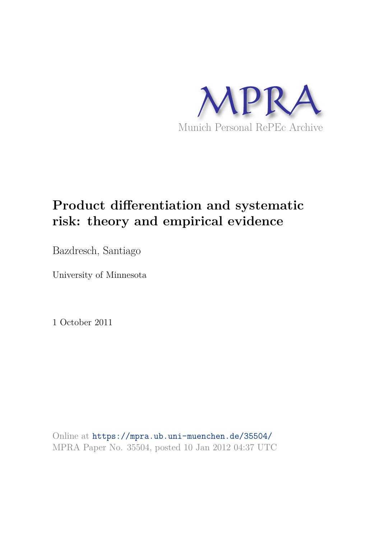

# **Product differentiation and systematic risk: theory and empirical evidence**

Bazdresch, Santiago

University of Minnesota

1 October 2011

Online at https://mpra.ub.uni-muenchen.de/35504/ MPRA Paper No. 35504, posted 10 Jan 2012 04:37 UTC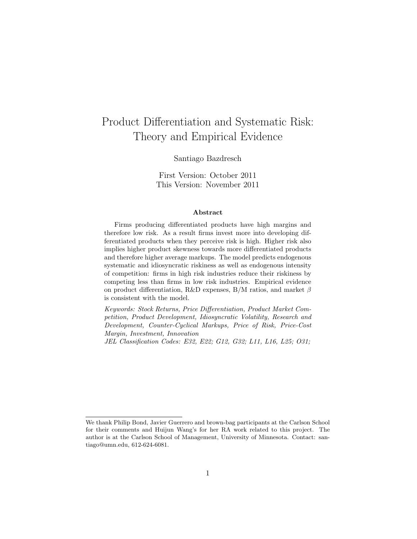## Product Differentiation and Systematic Risk: Theory and Empirical Evidence

Santiago Bazdresch

First Version: October 2011 This Version: November 2011

#### Abstract

Firms producing differentiated products have high margins and therefore low risk. As a result firms invest more into developing differentiated products when they perceive risk is high. Higher risk also implies higher product skewness towards more differentiated products and therefore higher average markups. The model predicts endogenous systematic and idiosyncratic riskiness as well as endogenous intensity of competition: firms in high risk industries reduce their riskiness by competing less than firms in low risk industries. Empirical evidence on product differentiation, R&D expenses, B/M ratios, and market  $\beta$ is consistent with the model.

Keywords: Stock Returns, Price Differentiation, Product Market Competition, Product Development, Idiosyncratic Volatility, Research and Development, Counter-Cyclical Markups, Price of Risk, Price-Cost Margin, Investment, Innovation

JEL Classification Codes: E32, E22; G12, G32; L11, L16, L25; O31;

We thank Philip Bond, Javier Guerrero and brown-bag participants at the Carlson School for their comments and Huijun Wang's for her RA work related to this project. The author is at the Carlson School of Management, University of Minnesota. Contact: santiago@umn.edu, 612-624-6081.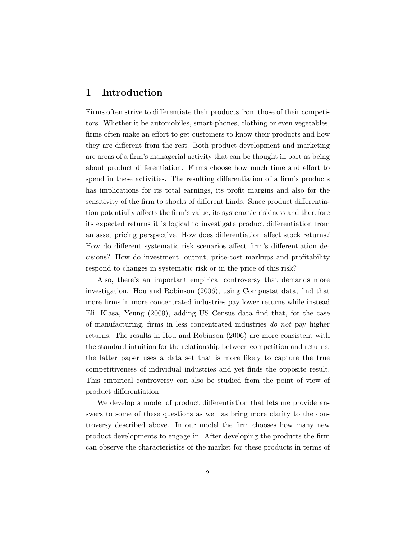## 1 Introduction

Firms often strive to differentiate their products from those of their competitors. Whether it be automobiles, smart-phones, clothing or even vegetables, firms often make an effort to get customers to know their products and how they are different from the rest. Both product development and marketing are areas of a firm's managerial activity that can be thought in part as being about product differentiation. Firms choose how much time and effort to spend in these activities. The resulting differentiation of a firm's products has implications for its total earnings, its profit margins and also for the sensitivity of the firm to shocks of different kinds. Since product differentiation potentially affects the firm's value, its systematic riskiness and therefore its expected returns it is logical to investigate product differentiation from an asset pricing perspective. How does differentiation affect stock returns? How do different systematic risk scenarios affect firm's differentiation decisions? How do investment, output, price-cost markups and profitability respond to changes in systematic risk or in the price of this risk?

Also, there's an important empirical controversy that demands more investigation. Hou and Robinson (2006), using Compustat data, find that more firms in more concentrated industries pay lower returns while instead Eli, Klasa, Yeung (2009), adding US Census data find that, for the case of manufacturing, firms in less concentrated industries do not pay higher returns. The results in Hou and Robinson (2006) are more consistent with the standard intuition for the relationship between competition and returns, the latter paper uses a data set that is more likely to capture the true competitiveness of individual industries and yet finds the opposite result. This empirical controversy can also be studied from the point of view of product differentiation.

We develop a model of product differentiation that lets me provide answers to some of these questions as well as bring more clarity to the controversy described above. In our model the firm chooses how many new product developments to engage in. After developing the products the firm can observe the characteristics of the market for these products in terms of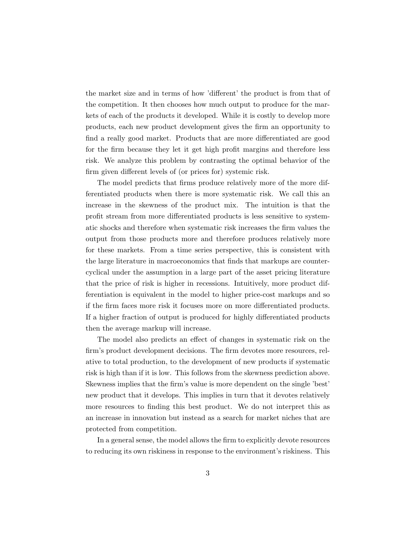the market size and in terms of how 'different' the product is from that of the competition. It then chooses how much output to produce for the markets of each of the products it developed. While it is costly to develop more products, each new product development gives the firm an opportunity to find a really good market. Products that are more differentiated are good for the firm because they let it get high profit margins and therefore less risk. We analyze this problem by contrasting the optimal behavior of the firm given different levels of (or prices for) systemic risk.

The model predicts that firms produce relatively more of the more differentiated products when there is more systematic risk. We call this an increase in the skewness of the product mix. The intuition is that the profit stream from more differentiated products is less sensitive to systematic shocks and therefore when systematic risk increases the firm values the output from those products more and therefore produces relatively more for these markets. From a time series perspective, this is consistent with the large literature in macroeconomics that finds that markups are countercyclical under the assumption in a large part of the asset pricing literature that the price of risk is higher in recessions. Intuitively, more product differentiation is equivalent in the model to higher price-cost markups and so if the firm faces more risk it focuses more on more differentiated products. If a higher fraction of output is produced for highly differentiated products then the average markup will increase.

The model also predicts an effect of changes in systematic risk on the firm's product development decisions. The firm devotes more resources, relative to total production, to the development of new products if systematic risk is high than if it is low. This follows from the skewness prediction above. Skewness implies that the firm's value is more dependent on the single 'best' new product that it develops. This implies in turn that it devotes relatively more resources to finding this best product. We do not interpret this as an increase in innovation but instead as a search for market niches that are protected from competition.

In a general sense, the model allows the firm to explicitly devote resources to reducing its own riskiness in response to the environment's riskiness. This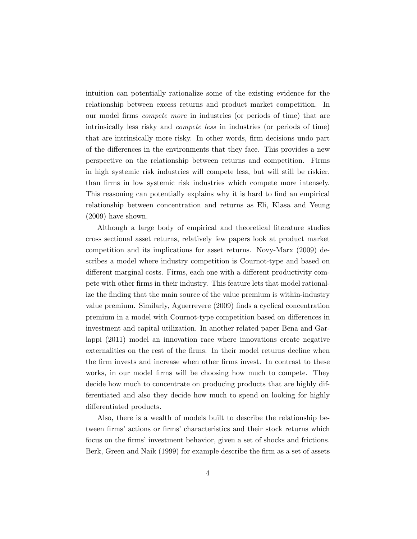intuition can potentially rationalize some of the existing evidence for the relationship between excess returns and product market competition. In our model firms compete more in industries (or periods of time) that are intrinsically less risky and compete less in industries (or periods of time) that are intrinsically more risky. In other words, firm decisions undo part of the differences in the environments that they face. This provides a new perspective on the relationship between returns and competition. Firms in high systemic risk industries will compete less, but will still be riskier, than firms in low systemic risk industries which compete more intensely. This reasoning can potentially explains why it is hard to find an empirical relationship between concentration and returns as Eli, Klasa and Yeung (2009) have shown.

Although a large body of empirical and theoretical literature studies cross sectional asset returns, relatively few papers look at product market competition and its implications for asset returns. Novy-Marx (2009) describes a model where industry competition is Cournot-type and based on different marginal costs. Firms, each one with a different productivity compete with other firms in their industry. This feature lets that model rationalize the finding that the main source of the value premium is within-industry value premium. Similarly, Aguerrevere (2009) finds a cyclical concentration premium in a model with Cournot-type competition based on differences in investment and capital utilization. In another related paper Bena and Garlappi (2011) model an innovation race where innovations create negative externalities on the rest of the firms. In their model returns decline when the firm invests and increase when other firms invest. In contrast to these works, in our model firms will be choosing how much to compete. They decide how much to concentrate on producing products that are highly differentiated and also they decide how much to spend on looking for highly differentiated products.

Also, there is a wealth of models built to describe the relationship between firms' actions or firms' characteristics and their stock returns which focus on the firms' investment behavior, given a set of shocks and frictions. Berk, Green and Naik (1999) for example describe the firm as a set of assets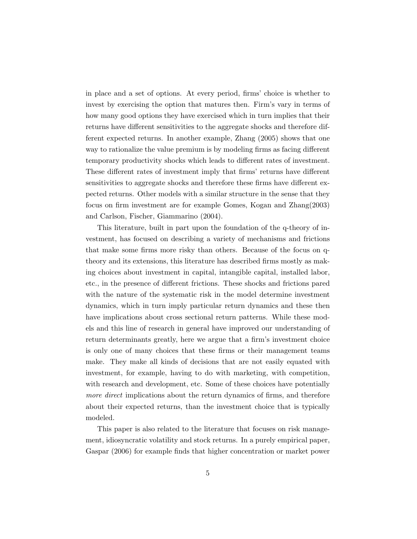in place and a set of options. At every period, firms' choice is whether to invest by exercising the option that matures then. Firm's vary in terms of how many good options they have exercised which in turn implies that their returns have different sensitivities to the aggregate shocks and therefore different expected returns. In another example, Zhang (2005) shows that one way to rationalize the value premium is by modeling firms as facing different temporary productivity shocks which leads to different rates of investment. These different rates of investment imply that firms' returns have different sensitivities to aggregate shocks and therefore these firms have different expected returns. Other models with a similar structure in the sense that they focus on firm investment are for example Gomes, Kogan and Zhang(2003) and Carlson, Fischer, Giammarino (2004).

This literature, built in part upon the foundation of the q-theory of investment, has focused on describing a variety of mechanisms and frictions that make some firms more risky than others. Because of the focus on qtheory and its extensions, this literature has described firms mostly as making choices about investment in capital, intangible capital, installed labor, etc., in the presence of different frictions. These shocks and frictions pared with the nature of the systematic risk in the model determine investment dynamics, which in turn imply particular return dynamics and these then have implications about cross sectional return patterns. While these models and this line of research in general have improved our understanding of return determinants greatly, here we argue that a firm's investment choice is only one of many choices that these firms or their management teams make. They make all kinds of decisions that are not easily equated with investment, for example, having to do with marketing, with competition, with research and development, etc. Some of these choices have potentially more direct implications about the return dynamics of firms, and therefore about their expected returns, than the investment choice that is typically modeled.

This paper is also related to the literature that focuses on risk management, idiosyncratic volatility and stock returns. In a purely empirical paper, Gaspar (2006) for example finds that higher concentration or market power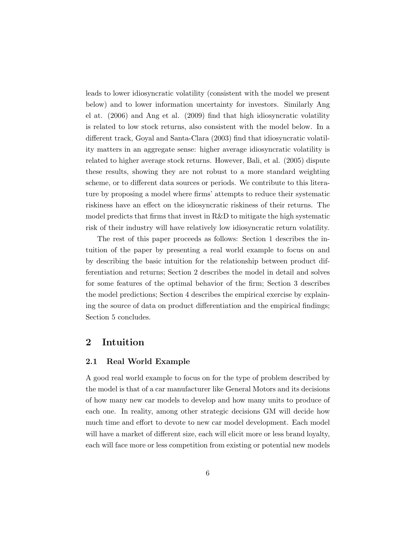leads to lower idiosyncratic volatility (consistent with the model we present below) and to lower information uncertainty for investors. Similarly Ang el at. (2006) and Ang et al. (2009) find that high idiosyncratic volatility is related to low stock returns, also consistent with the model below. In a different track, Goyal and Santa-Clara (2003) find that idiosyncratic volatility matters in an aggregate sense: higher average idiosyncratic volatility is related to higher average stock returns. However, Bali, et al. (2005) dispute these results, showing they are not robust to a more standard weighting scheme, or to different data sources or periods. We contribute to this literature by proposing a model where firms' attempts to reduce their systematic riskiness have an effect on the idiosyncratic riskiness of their returns. The model predicts that firms that invest in R&D to mitigate the high systematic risk of their industry will have relatively low idiosyncratic return volatility.

The rest of this paper proceeds as follows: Section 1 describes the intuition of the paper by presenting a real world example to focus on and by describing the basic intuition for the relationship between product differentiation and returns; Section 2 describes the model in detail and solves for some features of the optimal behavior of the firm; Section 3 describes the model predictions; Section 4 describes the empirical exercise by explaining the source of data on product differentiation and the empirical findings; Section 5 concludes.

## 2 Intuition

#### 2.1 Real World Example

A good real world example to focus on for the type of problem described by the model is that of a car manufacturer like General Motors and its decisions of how many new car models to develop and how many units to produce of each one. In reality, among other strategic decisions GM will decide how much time and effort to devote to new car model development. Each model will have a market of different size, each will elicit more or less brand loyalty, each will face more or less competition from existing or potential new models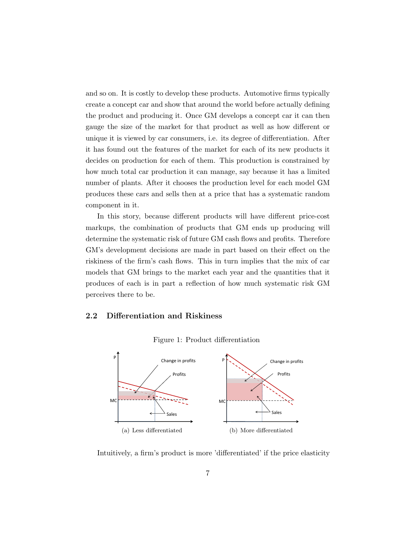and so on. It is costly to develop these products. Automotive firms typically create a concept car and show that around the world before actually defining the product and producing it. Once GM develops a concept car it can then gauge the size of the market for that product as well as how different or unique it is viewed by car consumers, i.e. its degree of differentiation. After it has found out the features of the market for each of its new products it decides on production for each of them. This production is constrained by how much total car production it can manage, say because it has a limited number of plants. After it chooses the production level for each model GM produces these cars and sells then at a price that has a systematic random component in it.

In this story, because different products will have different price-cost markups, the combination of products that GM ends up producing will determine the systematic risk of future GM cash flows and profits. Therefore GM's development decisions are made in part based on their effect on the riskiness of the firm's cash flows. This in turn implies that the mix of car models that GM brings to the market each year and the quantities that it produces of each is in part a reflection of how much systematic risk GM perceives there to be.

#### 2.2 Differentiation and Riskiness



Figure 1: Product differentiation

(a) Less differentiated

(b) More differentiated

Intuitively, a firm's product is more 'differentiated' if the price elasticity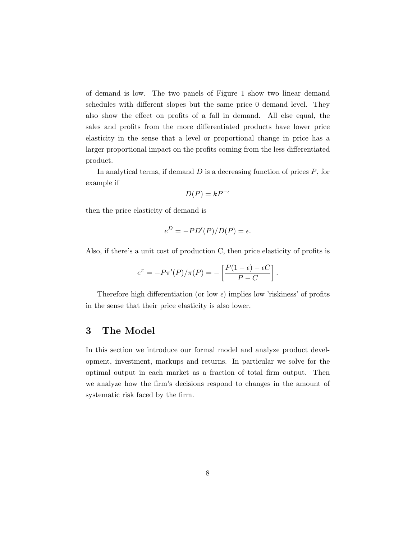of demand is low. The two panels of Figure 1 show two linear demand schedules with different slopes but the same price 0 demand level. They also show the effect on profits of a fall in demand. All else equal, the sales and profits from the more differentiated products have lower price elasticity in the sense that a level or proportional change in price has a larger proportional impact on the profits coming from the less differentiated product.

In analytical terms, if demand  $D$  is a decreasing function of prices  $P$ , for example if

$$
D(P) = kP^{-\epsilon}
$$

then the price elasticity of demand is

$$
e^{D} = -PD'(P)/D(P) = \epsilon.
$$

Also, if there's a unit cost of production C, then price elasticity of profits is

$$
e^{\pi} = -P\pi'(P)/\pi(P) = -\left[\frac{P(1-\epsilon) - \epsilon C}{P - C}\right]
$$

.

Therefore high differentiation (or low  $\epsilon$ ) implies low 'riskiness' of profits in the sense that their price elasticity is also lower.

## 3 The Model

In this section we introduce our formal model and analyze product development, investment, markups and returns. In particular we solve for the optimal output in each market as a fraction of total firm output. Then we analyze how the firm's decisions respond to changes in the amount of systematic risk faced by the firm.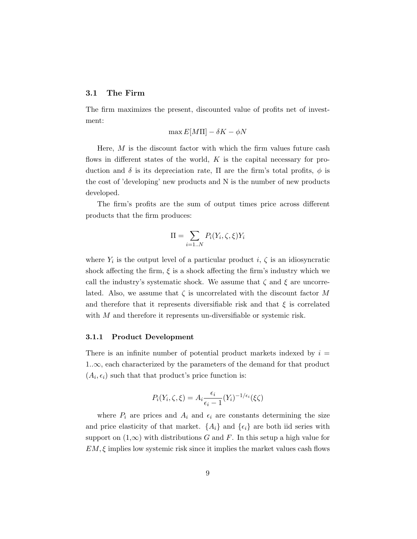### 3.1 The Firm

The firm maximizes the present, discounted value of profits net of investment:

$$
\max E[M\Pi] - \delta K - \phi N
$$

Here,  $M$  is the discount factor with which the firm values future cash flows in different states of the world,  $K$  is the capital necessary for production and  $\delta$  is its depreciation rate,  $\Pi$  are the firm's total profits,  $\phi$  is the cost of 'developing' new products and N is the number of new products developed.

The firm's profits are the sum of output times price across different products that the firm produces:

$$
\Pi = \sum_{i=1..N} P_i(Y_i, \zeta, \xi) Y_i
$$

where  $Y_i$  is the output level of a particular product  $i, \zeta$  is an idiosyncratic shock affecting the firm,  $\xi$  is a shock affecting the firm's industry which we call the industry's systematic shock. We assume that  $\zeta$  and  $\xi$  are uncorrelated. Also, we assume that  $\zeta$  is uncorrelated with the discount factor M and therefore that it represents diversifiable risk and that  $\xi$  is correlated with  $M$  and therefore it represents un-diversifiable or systemic risk.

#### 3.1.1 Product Development

There is an infinite number of potential product markets indexed by  $i =$ 1..∞, each characterized by the parameters of the demand for that product  $(A_i, \epsilon_i)$  such that that product's price function is:

$$
P_i(Y_i, \zeta, \xi) = A_i \frac{\epsilon_i}{\epsilon_i - 1} (Y_i)^{-1/\epsilon_i} (\xi \zeta)
$$

where  $P_i$  are prices and  $A_i$  and  $\epsilon_i$  are constants determining the size and price elasticity of that market.  $\{A_i\}$  and  $\{\epsilon_i\}$  are both iid series with support on  $(1, \infty)$  with distributions G and F. In this setup a high value for  $EM, \xi$  implies low systemic risk since it implies the market values cash flows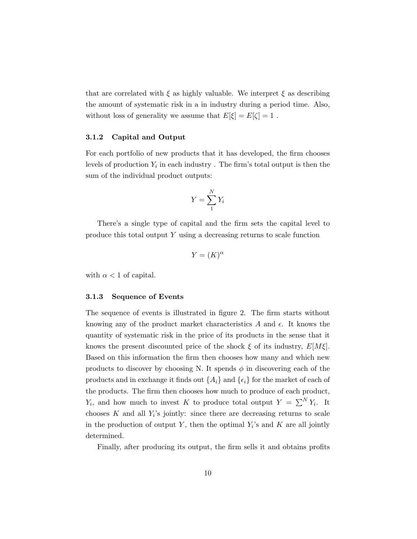that are correlated with  $\xi$  as highly valuable. We interpret  $\xi$  as describing the amount of systematic risk in a in industry during a period time. Also, without loss of generality we assume that  $E[\xi] = E[\zeta] = 1$ .

#### 3.1.2 Capital and Output

For each portfolio of new products that it has developed, the firm chooses levels of production  $Y_i$  in each industry . The firm's total output is then the sum of the individual product outputs:

$$
Y = \sum_{1}^{N} Y_i
$$

There's a single type of capital and the firm sets the capital level to produce this total output Y using a decreasing returns to scale function

$$
Y = (K)^{\alpha}
$$

with  $\alpha < 1$  of capital.

#### 3.1.3 Sequence of Events

The sequence of events is illustrated in figure 2. The firm starts without knowing any of the product market characteristics  $A$  and  $\epsilon$ . It knows the quantity of systematic risk in the price of its products in the sense that it knows the present discounted price of the shock  $\xi$  of its industry,  $E[M\xi]$ . Based on this information the firm then chooses how many and which new products to discover by choosing N. It spends  $\phi$  in discovering each of the products and in exchange it finds out  $\{A_i\}$  and  $\{\epsilon_i\}$  for the market of each of the products. The firm then chooses how much to produce of each product,  $Y_i$ , and how much to invest K to produce total output  $Y = \sum^N Y_i$ . It chooses  $K$  and all  $Y_i$ 's jointly: since there are decreasing returns to scale in the production of output Y, then the optimal  $Y_i$ 's and K are all jointly determined.

Finally, after producing its output, the firm sells it and obtains profits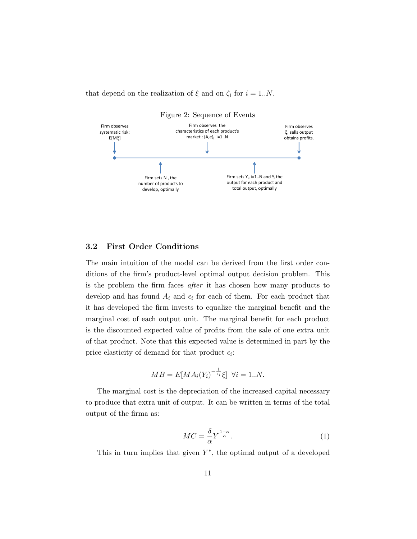that depend on the realization of  $\xi$  and on  $\zeta_i$  for  $i = 1..N$ .



#### 3.2 First Order Conditions

The main intuition of the model can be derived from the first order conditions of the firm's product-level optimal output decision problem. This is the problem the firm faces after it has chosen how many products to develop and has found  $A_i$  and  $\epsilon_i$  for each of them. For each product that it has developed the firm invests to equalize the marginal benefit and the marginal cost of each output unit. The marginal benefit for each product is the discounted expected value of profits from the sale of one extra unit of that product. Note that this expected value is determined in part by the price elasticity of demand for that product  $\epsilon_i$ :

$$
MB = E[M A_i(Y_i)^{-\frac{1}{\epsilon_i}} \xi] \quad \forall i = 1..N.
$$

The marginal cost is the depreciation of the increased capital necessary to produce that extra unit of output. It can be written in terms of the total output of the firma as:

$$
MC = \frac{\delta}{\alpha} Y^{\frac{1-\alpha}{\alpha}}.
$$
 (1)

This in turn implies that given  $Y^*$ , the optimal output of a developed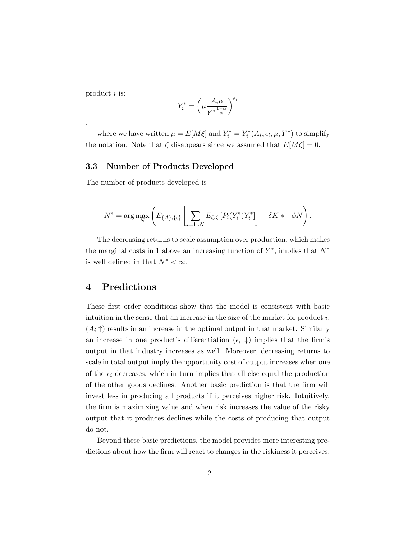product i is:

.

$$
Y_i^* = \left(\mu \frac{A_i \alpha}{Y^{*\frac{1-\alpha}{\alpha}}}\right)^{\epsilon_i}
$$

where we have written  $\mu = E[M\xi]$  and  $Y_i^* = Y_i^*(A_i, \epsilon_i, \mu, Y^*)$  to simplify the notation. Note that  $\zeta$  disappears since we assumed that  $E[M\zeta] = 0$ .

#### 3.3 Number of Products Developed

The number of products developed is

$$
N^* = \arg\max_N \left( E_{\{A\},\{\epsilon\}} \left[ \sum_{i=1..N} E_{\xi,\zeta} \left[ P_i(Y_i^*) Y_i^* \right] \right] - \delta K * - \phi N \right).
$$

The decreasing returns to scale assumption over production, which makes the marginal costs in 1 above an increasing function of  $Y^*$ , implies that  $N^*$ is well defined in that  $N^* < \infty$ .

## 4 Predictions

These first order conditions show that the model is consistent with basic intuition in the sense that an increase in the size of the market for product  $i$ ,  $(A_i \uparrow)$  results in an increase in the optimal output in that market. Similarly an increase in one product's differentiation  $(\epsilon_i \downarrow)$  implies that the firm's output in that industry increases as well. Moreover, decreasing returns to scale in total output imply the opportunity cost of output increases when one of the  $\epsilon_i$  decreases, which in turn implies that all else equal the production of the other goods declines. Another basic prediction is that the firm will invest less in producing all products if it perceives higher risk. Intuitively, the firm is maximizing value and when risk increases the value of the risky output that it produces declines while the costs of producing that output do not.

Beyond these basic predictions, the model provides more interesting predictions about how the firm will react to changes in the riskiness it perceives.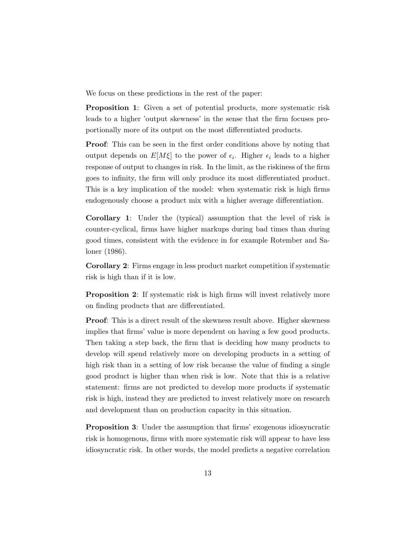We focus on these predictions in the rest of the paper:

Proposition 1: Given a set of potential products, more systematic risk leads to a higher 'output skewness' in the sense that the firm focuses proportionally more of its output on the most differentiated products.

Proof: This can be seen in the first order conditions above by noting that output depends on  $E[M\xi]$  to the power of  $\epsilon_i$ . Higher  $\epsilon_i$  leads to a higher response of output to changes in risk. In the limit, as the riskiness of the firm goes to infinity, the firm will only produce its most differentiated product. This is a key implication of the model: when systematic risk is high firms endogenously choose a product mix with a higher average differentiation.

Corollary 1: Under the (typical) assumption that the level of risk is counter-cyclical, firms have higher markups during bad times than during good times, consistent with the evidence in for example Rotember and Saloner (1986).

Corollary 2: Firms engage in less product market competition if systematic risk is high than if it is low.

Proposition 2: If systematic risk is high firms will invest relatively more on finding products that are differentiated.

Proof: This is a direct result of the skewness result above. Higher skewness implies that firms' value is more dependent on having a few good products. Then taking a step back, the firm that is deciding how many products to develop will spend relatively more on developing products in a setting of high risk than in a setting of low risk because the value of finding a single good product is higher than when risk is low. Note that this is a relative statement: firms are not predicted to develop more products if systematic risk is high, instead they are predicted to invest relatively more on research and development than on production capacity in this situation.

Proposition 3: Under the assumption that firms' exogenous idiosyncratic risk is homogenous, firms with more systematic risk will appear to have less idiosyncratic risk. In other words, the model predicts a negative correlation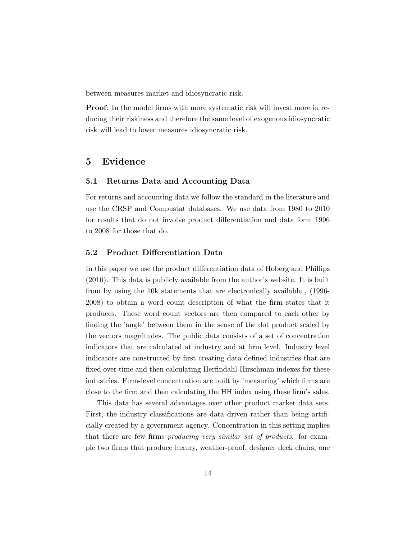between measures market and idiosyncratic risk.

Proof: In the model firms with more systematic risk will invest more in reducing their riskiness and therefore the same level of exogenous idiosyncratic risk will lead to lower measures idiosyncratic risk.

## 5 Evidence

#### 5.1 Returns Data and Accounting Data

For returns and accounting data we follow the standard in the literature and use the CRSP and Compustat databases. We use data from 1980 to 2010 for results that do not involve product differentiation and data form 1996 to 2008 for those that do.

#### 5.2 Product Differentiation Data

In this paper we use the product differentiation data of Hoberg and Phillips (2010). This data is publicly available from the author's website. It is built from by using the 10k statements that are electronically available , (1996- 2008) to obtain a word count description of what the firm states that it produces. These word count vectors are then compared to each other by finding the 'angle' between them in the sense of the dot product scaled by the vectors magnitudes. The public data consists of a set of concentration indicators that are calculated at industry and at firm level. Industry level indicators are constructed by first creating data defined industries that are fixed over time and then calculating Herfindahl-Hirschman indexes for these industries. Firm-level concentration are built by 'measuring' which firms are close to the firm and then calculating the HH index using these firm's sales.

This data has several advantages over other product market data sets. First, the industry classifications are data driven rather than being artificially created by a government agency. Concentration in this setting implies that there are few firms *producing very similar set of products*. for example two firms that produce luxury, weather-proof, designer deck chairs, one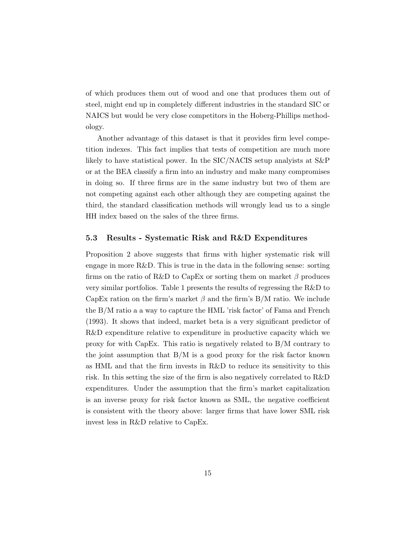of which produces them out of wood and one that produces them out of steel, might end up in completely different industries in the standard SIC or NAICS but would be very close competitors in the Hoberg-Phillips methodology.

Another advantage of this dataset is that it provides firm level competition indexes. This fact implies that tests of competition are much more likely to have statistical power. In the SIC/NACIS setup analyists at S&P or at the BEA classify a firm into an industry and make many compromises in doing so. If three firms are in the same industry but two of them are not competing against each other although they are competing against the third, the standard classification methods will wrongly lead us to a single HH index based on the sales of the three firms.

#### 5.3 Results - Systematic Risk and R&D Expenditures

Proposition 2 above suggests that firms with higher systematic risk will engage in more  $R\&D$ . This is true in the data in the following sense: sorting firms on the ratio of R&D to CapEx or sorting them on market  $\beta$  produces very similar portfolios. Table 1 presents the results of regressing the R&D to CapEx ration on the firm's market  $\beta$  and the firm's B/M ratio. We include the B/M ratio a a way to capture the HML 'risk factor' of Fama and French (1993). It shows that indeed, market beta is a very significant predictor of R&D expenditure relative to expenditure in productive capacity which we proxy for with CapEx. This ratio is negatively related to B/M contrary to the joint assumption that B/M is a good proxy for the risk factor known as HML and that the firm invests in R&D to reduce its sensitivity to this risk. In this setting the size of the firm is also negatively correlated to R&D expenditures. Under the assumption that the firm's market capitalization is an inverse proxy for risk factor known as SML, the negative coefficient is consistent with the theory above: larger firms that have lower SML risk invest less in R&D relative to CapEx.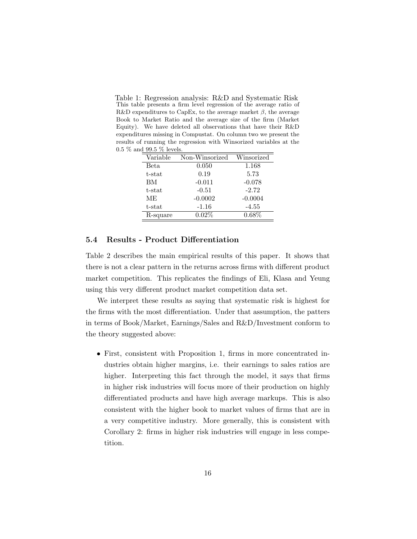Table 1: Regression analysis: R&D and Systematic Risk This table presents a firm level regression of the average ratio of R&D expenditures to CapEx, to the average market  $\beta$ , the average Book to Market Ratio and the average size of the firm (Market Equity). We have deleted all observations that have their R&D expenditures missing in Compustat. On column two we present the results of running the regression with Winsorized variables at the 0.5 % and 99.5 % levels.

| Variable    | Non-Winsorized | Winsorized |
|-------------|----------------|------------|
| <b>Beta</b> | 0.050          | 1.168      |
| t-stat      | 0.19           | 5.73       |
| BM          | $-0.011$       | $-0.078$   |
| t-stat      | $-0.51$        | $-2.72$    |
| MЕ          | $-0.0002$      | $-0.0004$  |
| t-stat      | $-1.16$        | $-4.55$    |
| R-square    | 0.02%          | $0.68\%$   |

#### 5.4 Results - Product Differentiation

Table 2 describes the main empirical results of this paper. It shows that there is not a clear pattern in the returns across firms with different product market competition. This replicates the findings of Eli, Klasa and Yeung using this very different product market competition data set.

We interpret these results as saying that systematic risk is highest for the firms with the most differentiation. Under that assumption, the patters in terms of Book/Market, Earnings/Sales and R&D/Investment conform to the theory suggested above:

• First, consistent with Proposition 1, firms in more concentrated industries obtain higher margins, i.e. their earnings to sales ratios are higher. Interpreting this fact through the model, it says that firms in higher risk industries will focus more of their production on highly differentiated products and have high average markups. This is also consistent with the higher book to market values of firms that are in a very competitive industry. More generally, this is consistent with Corollary 2: firms in higher risk industries will engage in less competition.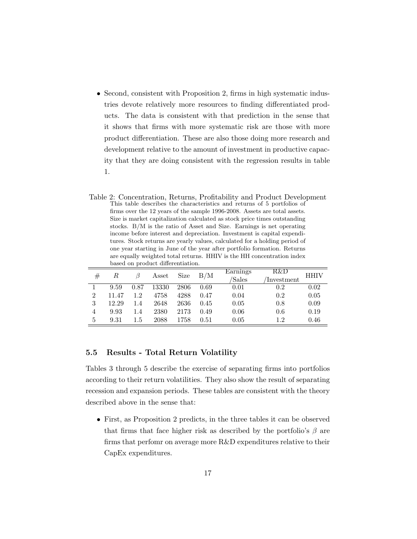• Second, consistent with Proposition 2, firms in high systematic industries devote relatively more resources to finding differentiated products. The data is consistent with that prediction in the sense that it shows that firms with more systematic risk are those with more product differentiation. These are also those doing more research and development relative to the amount of investment in productive capacity that they are doing consistent with the regression results in table 1.

Table 2: Concentration, Returns, Profitability and Product Development This table describes the characteristics and returns of 5 portfolios of firms over the 12 years of the sample 1996-2008. Assets are total assets. Size is market capitalization calculated as stock price times outstanding stocks. B/M is the ratio of Asset and Size. Earnings is net operating income before interest and depreciation. Investment is capital expenditures. Stock returns are yearly values, calculated for a holding period of one year starting in June of the year after portfolio formation. Returns are equally weighted total returns. HHIV is the HH concentration index based on product differentiation.

| #              | R     |         | Asset | Size | B/M  | Earnings | R&D         | HHIV |
|----------------|-------|---------|-------|------|------|----------|-------------|------|
|                |       |         |       |      |      | /Sales   | 'Investment |      |
|                | 9.59  | 0.87    | 13330 | 2806 | 0.69 | 0.01     | 0.2         | 0.02 |
| $\overline{2}$ | 11.47 | $1.2\,$ | 4758  | 4288 | 0.47 | 0.04     | 0.2         | 0.05 |
| 3              | 12.29 | 1.4     | 2648  | 2636 | 0.45 | 0.05     | 0.8         | 0.09 |
| $\overline{4}$ | 9.93  | 1.4     | 2380  | 2173 | 0.49 | 0.06     | 0.6         | 0.19 |
| 5              | 9.31  | $1.5\,$ | 2088  | 1758 | 0.51 | 0.05     | 12          | 0.46 |

#### 5.5 Results - Total Return Volatility

Tables 3 through 5 describe the exercise of separating firms into portfolios according to their return volatilities. They also show the result of separating recession and expansion periods. These tables are consistent with the theory described above in the sense that:

• First, as Proposition 2 predicts, in the three tables it can be observed that firms that face higher risk as described by the portfolio's  $\beta$  are firms that perfomr on average more R&D expenditures relative to their CapEx expenditures.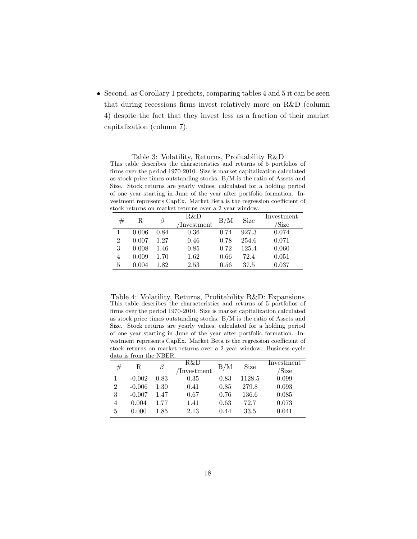• Second, as Corollary 1 predicts, comparing tables 4 and 5 it can be seen that during recessions firms invest relatively more on R&D (column 4) despite the fact that they invest less as a fraction of their market capitalization (column 7).

Table 3: Volatility, Returns, Profitability R&D This table describes the characteristics and returns of 5 portfolios of firms over the period 1970-2010. Size is market capitalization calculated as stock price times outstanding stocks. B/M is the ratio of Assets and Size. Stock returns are yearly values, calculated for a holding period of one year starting in June of the year after portfolio formation. Investment represents CapEx. Market Beta is the regression coefficient of stock returns on market returns over a 2 year window.

|                |       |      |                   | $\cdot$ |       |                     |
|----------------|-------|------|-------------------|---------|-------|---------------------|
| $^{\#}$        | R     | 15   | R&D<br>Investment | B/M     | Size  | Investment<br>'Size |
|                | 0.006 | 0.84 | 0.36              | 0.74    | 927.3 | 0.074               |
| $\overline{2}$ | 0.007 | 1.27 | 0.46              | 0.78    | 254.6 | 0.071               |
| 3              | 0.008 | 1.46 | 0.85              | 0.72    | 125.4 | 0.060               |
| 4              | 0.009 | 1.70 | 1.62              | 0.66    | 72.4  | 0.051               |
| 5              | 0.004 | 1.82 | 2.53              | 0.56    | 37.5  | 0.037               |

Table 4: Volatility, Returns, Profitability R&D: Expansions This table describes the characteristics and returns of 5 portfolios of firms over the period 1970-2010. Size is market capitalization calculated as stock price times outstanding stocks. B/M is the ratio of Assets and Size. Stock returns are yearly values, calculated for a holding period of one year starting in June of the year after portfolio formation. Investment represents CapEx. Market Beta is the regression coefficient of stock returns on market returns over a 2 year window. Business cycle data is from the NBER.

| #              | R        | B    | R&D<br>Investment | B/M  | <b>Size</b> | Investment<br>/Size |
|----------------|----------|------|-------------------|------|-------------|---------------------|
|                | $-0.002$ | 0.83 | 0.35              | 0.83 | 1128.5      | 0.099               |
| $\overline{2}$ | $-0.006$ | 1.30 | 0.41              | 0.85 | 279.8       | 0.093               |
| 3              | $-0.007$ | 1.47 | 0.67              | 0.76 | 136.6       | 0.085               |
| $\overline{4}$ | 0.004    | 1.77 | 1.41              | 0.63 | 72.7        | 0.073               |
| 5              | 0.000    | 1.85 | 2.13              | 0.44 | 33.5        | 0.041               |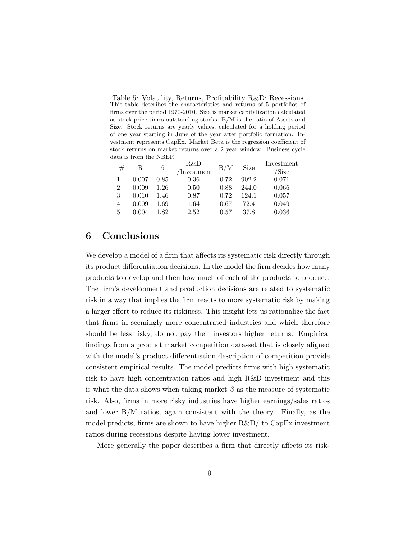Table 5: Volatility, Returns, Profitability R&D: Recessions This table describes the characteristics and returns of 5 portfolios of firms over the period 1970-2010. Size is market capitalization calculated as stock price times outstanding stocks. B/M is the ratio of Assets and Size. Stock returns are yearly values, calculated for a holding period of one year starting in June of the year after portfolio formation. Investment represents CapEx. Market Beta is the regression coefficient of stock returns on market returns over a 2 year window. Business cycle data is from the NBER.

| $^{\#}$        | R     |      | R&D<br>Investment | $\rm B/M$ | Size  | Investment<br>'Size |
|----------------|-------|------|-------------------|-----------|-------|---------------------|
|                | 0.007 | 0.85 | 0.36              | 0.72      | 902.2 | 0.071               |
| $\overline{2}$ | 0.009 | 1.26 | 0.50              | 0.88      | 244.0 | 0.066               |
| 3              | 0.010 | 1.46 | 0.87              | 0.72      | 124.1 | 0.057               |
| 4              | 0.009 | 1.69 | 1.64              | 0.67      | 72.4  | 0.049               |
| 5              | 0.004 | 1.82 | 2.52              | 0.57      | 37.8  | 0.036               |

## 6 Conclusions

We develop a model of a firm that affects its systematic risk directly through its product differentiation decisions. In the model the firm decides how many products to develop and then how much of each of the products to produce. The firm's development and production decisions are related to systematic risk in a way that implies the firm reacts to more systematic risk by making a larger effort to reduce its riskiness. This insight lets us rationalize the fact that firms in seemingly more concentrated industries and which therefore should be less risky, do not pay their investors higher returns. Empirical findings from a product market competition data-set that is closely aligned with the model's product differentiation description of competition provide consistent empirical results. The model predicts firms with high systematic risk to have high concentration ratios and high R&D investment and this is what the data shows when taking market  $\beta$  as the measure of systematic risk. Also, firms in more risky industries have higher earnings/sales ratios and lower B/M ratios, again consistent with the theory. Finally, as the model predicts, firms are shown to have higher  $R&D/$  to CapEx investment ratios during recessions despite having lower investment.

More generally the paper describes a firm that directly affects its risk-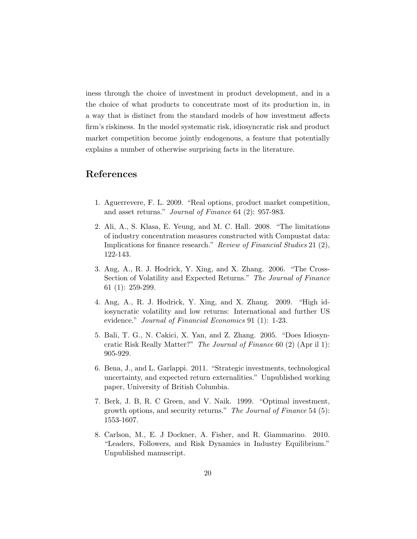iness through the choice of investment in product development, and in a the choice of what products to concentrate most of its production in, in a way that is distinct from the standard models of how investment affects firm's riskiness. In the model systematic risk, idiosyncratic risk and product market competition become jointly endogenous, a feature that potentially explains a number of otherwise surprising facts in the literature.

## References

- 1. Aguerrevere, F. L. 2009. "Real options, product market competition, and asset returns." Journal of Finance 64 (2): 957-983.
- 2. Ali, A., S. Klasa, E. Yeung, and M. C. Hall. 2008. "The limitations of industry concentration measures constructed with Compustat data: Implications for finance research." Review of Financial Studies 21 (2), 122-143.
- 3. Ang, A., R. J. Hodrick, Y. Xing, and X. Zhang. 2006. "The Cross-Section of Volatility and Expected Returns." The Journal of Finance 61 (1): 259-299.
- 4. Ang, A., R. J. Hodrick, Y. Xing, and X. Zhang. 2009. "High idiosyncratic volatility and low returns: International and further US evidence." *Journal of Financial Economics* 91 (1): 1-23.
- 5. Bali, T. G., N. Cakici, X. Yan, and Z. Zhang. 2005. "Does Idiosyncratic Risk Really Matter?" The Journal of Finance 60 (2) (Apr il 1): 905-929.
- 6. Bena, J., and L. Garlappi. 2011. "Strategic investments, technological uncertainty, and expected return externalities." Unpublished working paper, University of British Columbia.
- 7. Berk, J. B, R. C Green, and V. Naik. 1999. "Optimal investment, growth options, and security returns." The Journal of Finance 54 (5): 1553-1607.
- 8. Carlson, M., E. J Dockner, A. Fisher, and R. Giammarino. 2010. "Leaders, Followers, and Risk Dynamics in Industry Equilibrium." Unpublished manuscript.